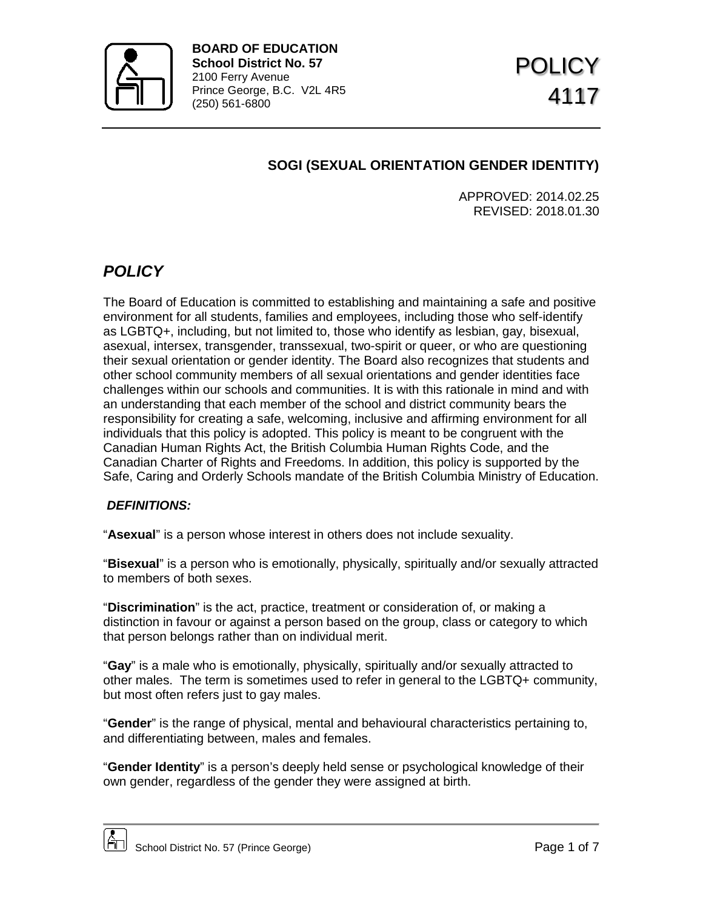

# **SOGI (SEXUAL ORIENTATION GENDER IDENTITY)**

APPROVED: 2014.02.25 REVISED: 2018.01.30

# *POLICY*

The Board of Education is committed to establishing and maintaining a safe and positive environment for all students, families and employees, including those who self-identify as LGBTQ+, including, but not limited to, those who identify as lesbian, gay, bisexual, asexual, intersex, transgender, transsexual, two-spirit or queer, or who are questioning their sexual orientation or gender identity. The Board also recognizes that students and other school community members of all sexual orientations and gender identities face challenges within our schools and communities. It is with this rationale in mind and with an understanding that each member of the school and district community bears the responsibility for creating a safe, welcoming, inclusive and affirming environment for all individuals that this policy is adopted. This policy is meant to be congruent with the Canadian Human Rights Act, the British Columbia Human Rights Code, and the Canadian Charter of Rights and Freedoms. In addition, this policy is supported by the Safe, Caring and Orderly Schools mandate of the British Columbia Ministry of Education.

## *DEFINITIONS:*

"**Asexual**" is a person whose interest in others does not include sexuality.

"**Bisexual**" is a person who is emotionally, physically, spiritually and/or sexually attracted to members of both sexes.

"**Discrimination**" is the act, practice, treatment or consideration of, or making a distinction in favour or against a person based on the group, class or category to which that person belongs rather than on individual merit.

"**Gay**" is a male who is emotionally, physically, spiritually and/or sexually attracted to other males. The term is sometimes used to refer in general to the LGBTQ+ community, but most often refers just to gay males.

"**Gender**" is the range of physical, mental and behavioural characteristics pertaining to, and differentiating between, males and females.

"**Gender Identity**" is a person's deeply held sense or psychological knowledge of their own gender, regardless of the gender they were assigned at birth.

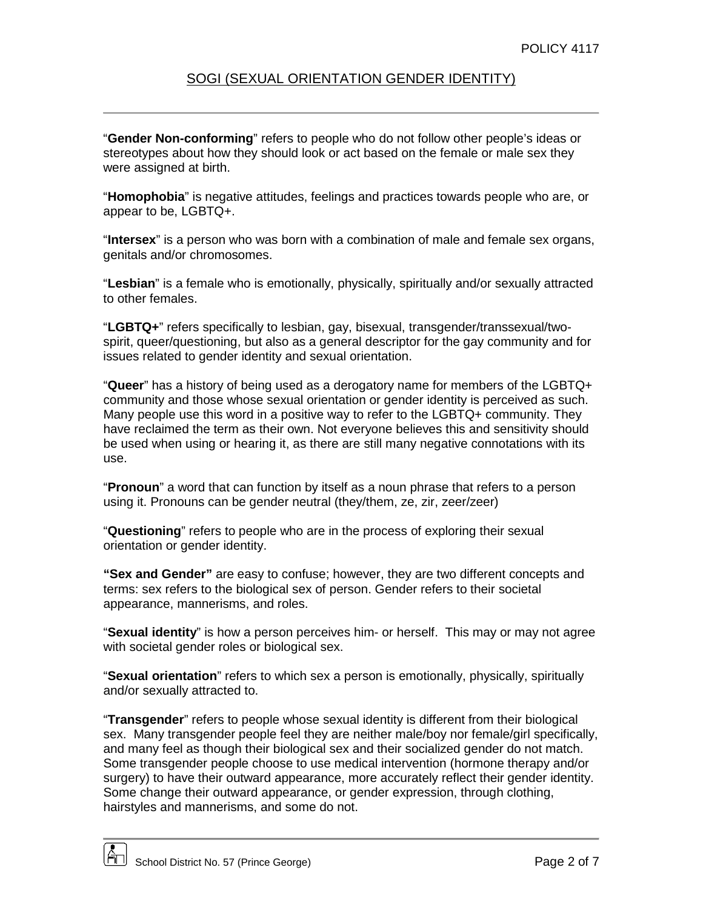#### SOGI (SEXUAL ORIENTATION GENDER IDENTITY)

"**Gender Non-conforming**" refers to people who do not follow other people's ideas or stereotypes about how they should look or act based on the female or male sex they were assigned at birth.

"**Homophobia**" is negative attitudes, feelings and practices towards people who are, or appear to be, LGBTQ+.

"**Intersex**" is a person who was born with a combination of male and female sex organs, genitals and/or chromosomes.

"**Lesbian**" is a female who is emotionally, physically, spiritually and/or sexually attracted to other females.

"**LGBTQ+**" refers specifically to lesbian, gay, bisexual, transgender/transsexual/twospirit, queer/questioning, but also as a general descriptor for the gay community and for issues related to gender identity and sexual orientation.

"**Queer**" has a history of being used as a derogatory name for members of the LGBTQ+ community and those whose sexual orientation or gender identity is perceived as such. Many people use this word in a positive way to refer to the LGBTQ+ community. They have reclaimed the term as their own. Not everyone believes this and sensitivity should be used when using or hearing it, as there are still many negative connotations with its use.

"**Pronoun**" a word that can function by itself as a noun phrase that refers to a person using it. Pronouns can be gender neutral (they/them, ze, zir, zeer/zeer)

"**Questioning**" refers to people who are in the process of exploring their sexual orientation or gender identity.

**"Sex and Gender"** are easy to confuse; however, they are two different concepts and terms: sex refers to the biological sex of person. Gender refers to their societal appearance, mannerisms, and roles.

"**Sexual identity**" is how a person perceives him- or herself. This may or may not agree with societal gender roles or biological sex.

"**Sexual orientation**" refers to which sex a person is emotionally, physically, spiritually and/or sexually attracted to.

"**Transgender**" refers to people whose sexual identity is different from their biological sex. Many transgender people feel they are neither male/boy nor female/girl specifically, and many feel as though their biological sex and their socialized gender do not match. Some transgender people choose to use medical intervention (hormone therapy and/or surgery) to have their outward appearance, more accurately reflect their gender identity. Some change their outward appearance, or gender expression, through clothing, hairstyles and mannerisms, and some do not.

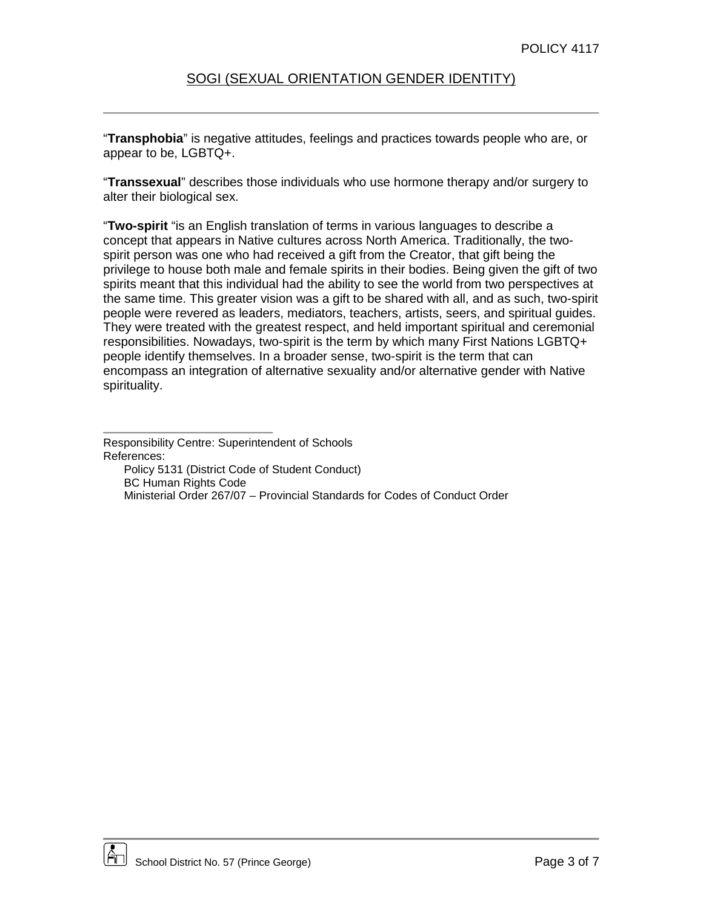"**Transphobia**" is negative attitudes, feelings and practices towards people who are, or appear to be, LGBTQ+.

"**Transsexual**" describes those individuals who use hormone therapy and/or surgery to alter their biological sex.

"**Two-spirit** "is an English translation of terms in various languages to describe a concept that appears in Native cultures across North America. Traditionally, the twospirit person was one who had received a gift from the Creator, that gift being the privilege to house both male and female spirits in their bodies. Being given the gift of two spirits meant that this individual had the ability to see the world from two perspectives at the same time. This greater vision was a gift to be shared with all, and as such, two-spirit people were revered as leaders, mediators, teachers, artists, seers, and spiritual guides. They were treated with the greatest respect, and held important spiritual and ceremonial responsibilities. Nowadays, two-spirit is the term by which many First Nations LGBTQ+ people identify themselves. In a broader sense, two-spirit is the term that can encompass an integration of alternative sexuality and/or alternative gender with Native spirituality.



Responsibility Centre: Superintendent of Schools References:

Policy 5131 (District Code of Student Conduct) BC Human Rights Code Ministerial Order 267/07 – Provincial Standards for Codes of Conduct Order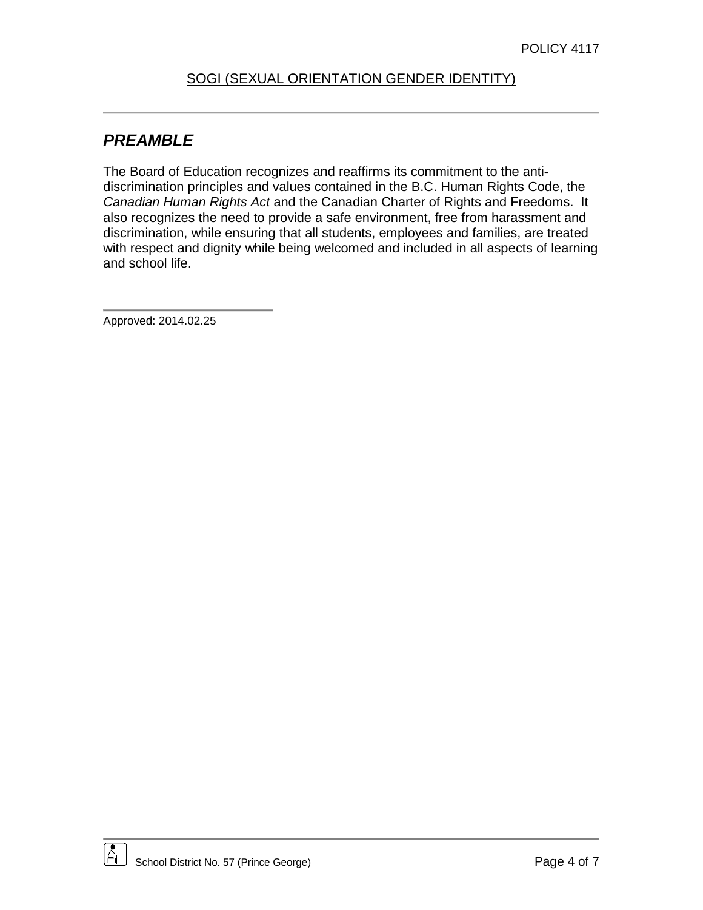## SOGI (SEXUAL ORIENTATION GENDER IDENTITY)

# *PREAMBLE*

The Board of Education recognizes and reaffirms its commitment to the antidiscrimination principles and values contained in the B.C. Human Rights Code, the *Canadian Human Rights Act* and the Canadian Charter of Rights and Freedoms. It also recognizes the need to provide a safe environment, free from harassment and discrimination, while ensuring that all students, employees and families, are treated with respect and dignity while being welcomed and included in all aspects of learning and school life.

Approved: 2014.02.25

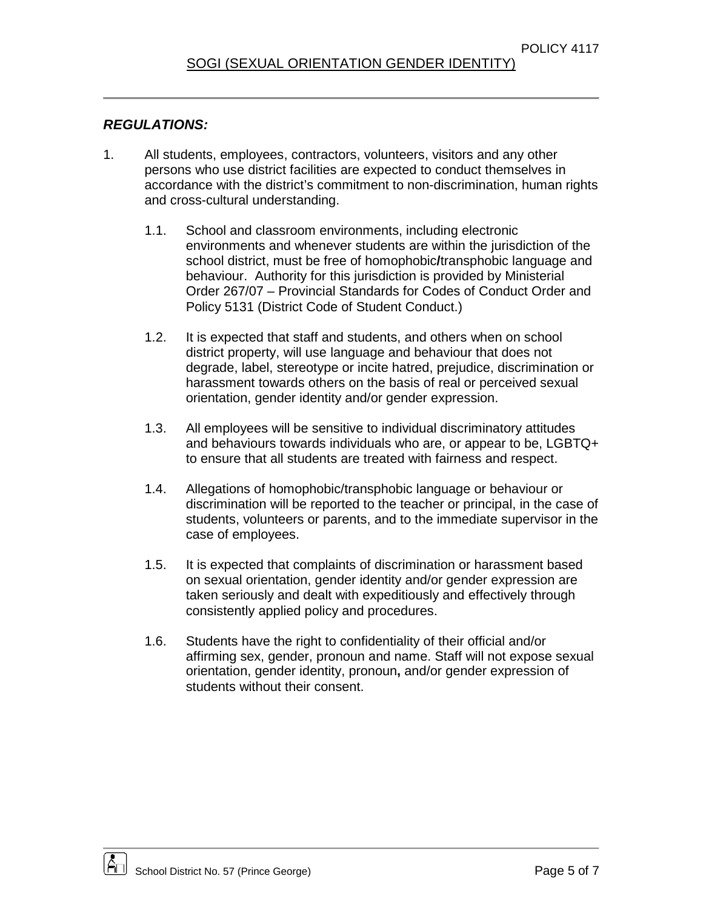#### *REGULATIONS:*

- 1. All students, employees, contractors, volunteers, visitors and any other persons who use district facilities are expected to conduct themselves in accordance with the district's commitment to non-discrimination, human rights and cross-cultural understanding.
	- 1.1. School and classroom environments, including electronic environments and whenever students are within the jurisdiction of the school district, must be free of homophobic**/**transphobic language and behaviour. Authority for this jurisdiction is provided by Ministerial Order 267/07 – Provincial Standards for Codes of Conduct Order and Policy 5131 (District Code of Student Conduct.)
	- 1.2. It is expected that staff and students, and others when on school district property, will use language and behaviour that does not degrade, label, stereotype or incite hatred, prejudice, discrimination or harassment towards others on the basis of real or perceived sexual orientation, gender identity and/or gender expression.
	- 1.3. All employees will be sensitive to individual discriminatory attitudes and behaviours towards individuals who are, or appear to be, LGBTQ+ to ensure that all students are treated with fairness and respect.
	- 1.4. Allegations of homophobic/transphobic language or behaviour or discrimination will be reported to the teacher or principal, in the case of students, volunteers or parents, and to the immediate supervisor in the case of employees.
	- 1.5. It is expected that complaints of discrimination or harassment based on sexual orientation, gender identity and/or gender expression are taken seriously and dealt with expeditiously and effectively through consistently applied policy and procedures.
	- 1.6. Students have the right to confidentiality of their official and/or affirming sex, gender, pronoun and name. Staff will not expose sexual orientation, gender identity, pronoun**,** and/or gender expression of students without their consent.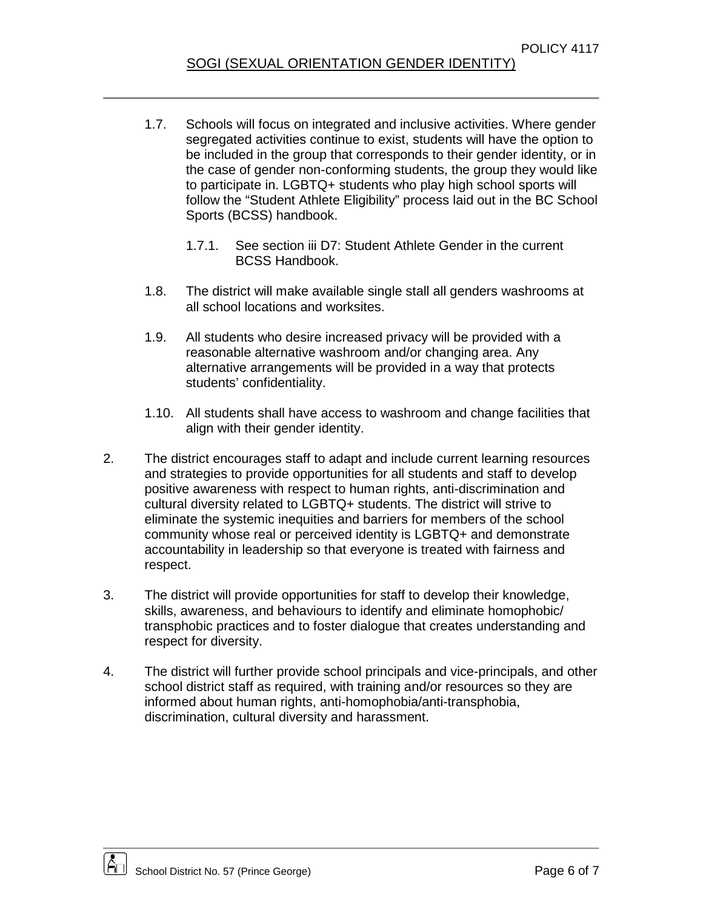- 1.7. Schools will focus on integrated and inclusive activities. Where gender segregated activities continue to exist, students will have the option to be included in the group that corresponds to their gender identity, or in the case of gender non-conforming students, the group they would like to participate in. LGBTQ+ students who play high school sports will follow the "Student Athlete Eligibility" process laid out in the BC School Sports (BCSS) handbook.
	- 1.7.1. See section iii D7: Student Athlete Gender in the current BCSS Handbook.
- 1.8. The district will make available single stall all genders washrooms at all school locations and worksites.
- 1.9. All students who desire increased privacy will be provided with a reasonable alternative washroom and/or changing area. Any alternative arrangements will be provided in a way that protects students' confidentiality.
- 1.10. All students shall have access to washroom and change facilities that align with their gender identity.
- 2. The district encourages staff to adapt and include current learning resources and strategies to provide opportunities for all students and staff to develop positive awareness with respect to human rights, anti-discrimination and cultural diversity related to LGBTQ+ students. The district will strive to eliminate the systemic inequities and barriers for members of the school community whose real or perceived identity is LGBTQ+ and demonstrate accountability in leadership so that everyone is treated with fairness and respect.
- 3. The district will provide opportunities for staff to develop their knowledge, skills, awareness, and behaviours to identify and eliminate homophobic/ transphobic practices and to foster dialogue that creates understanding and respect for diversity.
- 4. The district will further provide school principals and vice-principals, and other school district staff as required, with training and/or resources so they are informed about human rights, anti-homophobia/anti-transphobia, discrimination, cultural diversity and harassment.